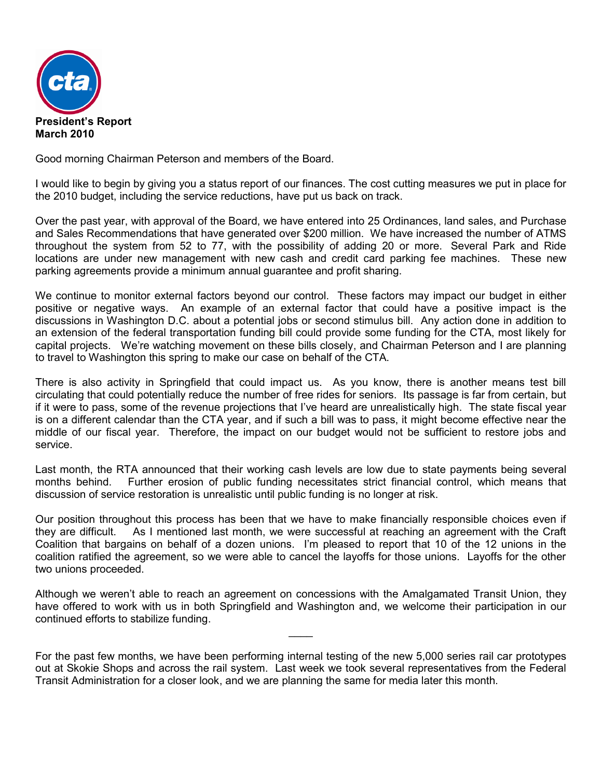

Good morning Chairman Peterson and members of the Board.

I would like to begin by giving you a status report of our finances. The cost cutting measures we put in place for the 2010 budget, including the service reductions, have put us back on track.

Over the past year, with approval of the Board, we have entered into 25 Ordinances, land sales, and Purchase and Sales Recommendations that have generated over \$200 million. We have increased the number of ATMS throughout the system from 52 to 77, with the possibility of adding 20 or more. Several Park and Ride locations are under new management with new cash and credit card parking fee machines. These new parking agreements provide a minimum annual guarantee and profit sharing.

We continue to monitor external factors beyond our control. These factors may impact our budget in either positive or negative ways. An example of an external factor that could have a positive impact is the discussions in Washington D.C. about a potential jobs or second stimulus bill. Any action done in addition to an extension of the federal transportation funding bill could provide some funding for the CTA, most likely for capital projects. We're watching movement on these bills closely, and Chairman Peterson and I are planning to travel to Washington this spring to make our case on behalf of the CTA.

There is also activity in Springfield that could impact us. As you know, there is another means test bill circulating that could potentially reduce the number of free rides for seniors. Its passage is far from certain, but if it were to pass, some of the revenue projections that I've heard are unrealistically high. The state fiscal year is on a different calendar than the CTA year, and if such a bill was to pass, it might become effective near the middle of our fiscal year. Therefore, the impact on our budget would not be sufficient to restore jobs and service.

Last month, the RTA announced that their working cash levels are low due to state payments being several months behind. Further erosion of public funding necessitates strict financial control, which means that discussion of service restoration is unrealistic until public funding is no longer at risk.

Our position throughout this process has been that we have to make financially responsible choices even if they are difficult. As I mentioned last month, we were successful at reaching an agreement with the Craft Coalition that bargains on behalf of a dozen unions. I'm pleased to report that 10 of the 12 unions in the coalition ratified the agreement, so we were able to cancel the layoffs for those unions. Layoffs for the other two unions proceeded.

Although we weren't able to reach an agreement on concessions with the Amalgamated Transit Union, they have offered to work with us in both Springfield and Washington and, we welcome their participation in our continued efforts to stabilize funding.

 $\overline{\phantom{a}}$ 

For the past few months, we have been performing internal testing of the new 5,000 series rail car prototypes out at Skokie Shops and across the rail system. Last week we took several representatives from the Federal Transit Administration for a closer look, and we are planning the same for media later this month.